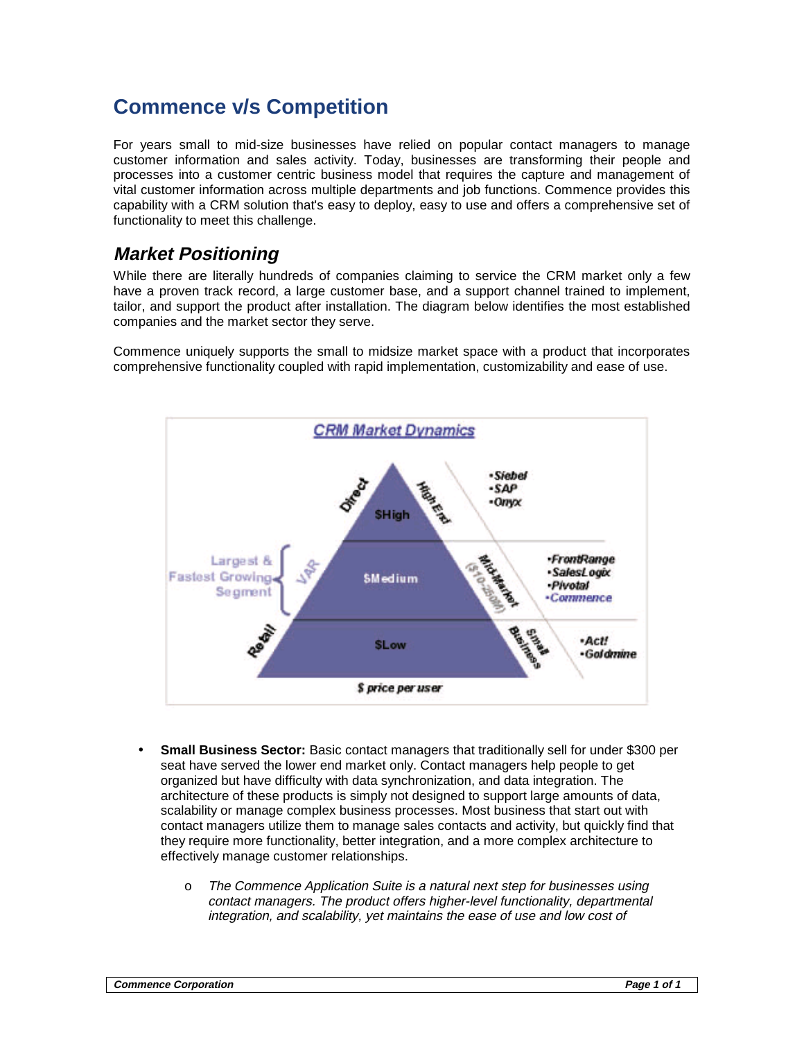## **Commence v/s Competition**

For years small to mid-size businesses have relied on popular contact managers to manage customer information and sales activity. Today, businesses are transforming their people and processes into a customer centric business model that requires the capture and management of vital customer information across multiple departments and job functions. Commence provides this capability with a CRM solution that's easy to deploy, easy to use and offers a comprehensive set of functionality to meet this challenge.

## **Market Positioning**

While there are literally hundreds of companies claiming to service the CRM market only a few have a proven track record, a large customer base, and a support channel trained to implement, tailor, and support the product after installation. The diagram below identifies the most established companies and the market sector they serve.

Commence uniquely supports the small to midsize market space with a product that incorporates comprehensive functionality coupled with rapid implementation, customizability and ease of use.



- **Small Business Sector:** Basic contact managers that traditionally sell for under \$300 per seat have served the lower end market only. Contact managers help people to get organized but have difficulty with data synchronization, and data integration. The architecture of these products is simply not designed to support large amounts of data, scalability or manage complex business processes. Most business that start out with contact managers utilize them to manage sales contacts and activity, but quickly find that they require more functionality, better integration, and a more complex architecture to effectively manage customer relationships.
	- o The Commence Application Suite is a natural next step for businesses using contact managers. The product offers higher-level functionality, departmental integration, and scalability, yet maintains the ease of use and low cost of